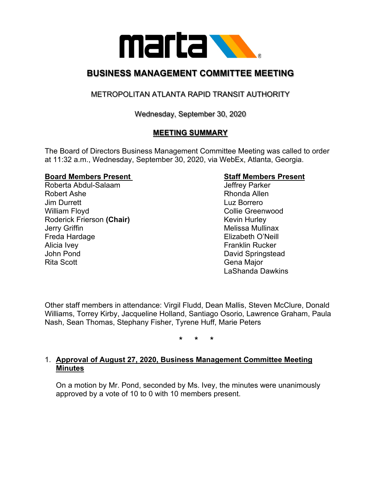

## **BUSINESS MANAGEMENT COMMITTEE MEETING**

### METROPOLITAN ATLANTA RAPID TRANSIT AUTHORITY

Wednesday, September 30, 2020

### **MEETING SUMMARY**

The Board of Directors Business Management Committee Meeting was called to order at 11:32 a.m., Wednesday, September 30, 2020, via WebEx, Atlanta, Georgia.

# **Board Members Present Staff Members Present**

Roberta Abdul-Salaam Robert Ashe **Rhonda** Allen **Jim Durrett** Luz Borrero William Floyd **Collie Greenwood** Collie Greenwood Roderick Frierson (Chair) **Kevin Hurley** Kevin Hurley Jerry Griffin **Melissa Mullinax** Freda Hardage **Elizabeth O'Neill** Alicia Ivey **Franklin** Rucker John Pond **David Springstead** Rita Scott **Gena Major** Gena Major

LaShanda Dawkins

Other staff members in attendance: Virgil Fludd, Dean Mallis, Steven McClure, Donald Williams, Torrey Kirby, Jacqueline Holland, Santiago Osorio, Lawrence Graham, Paula Nash, Sean Thomas, Stephany Fisher, Tyrene Huff, Marie Peters

**\* \* \***

### 1. **Approval of August 27, 2020, Business Management Committee Meeting Minutes**

On a motion by Mr. Pond, seconded by Ms. Ivey, the minutes were unanimously approved by a vote of 10 to 0 with 10 members present.